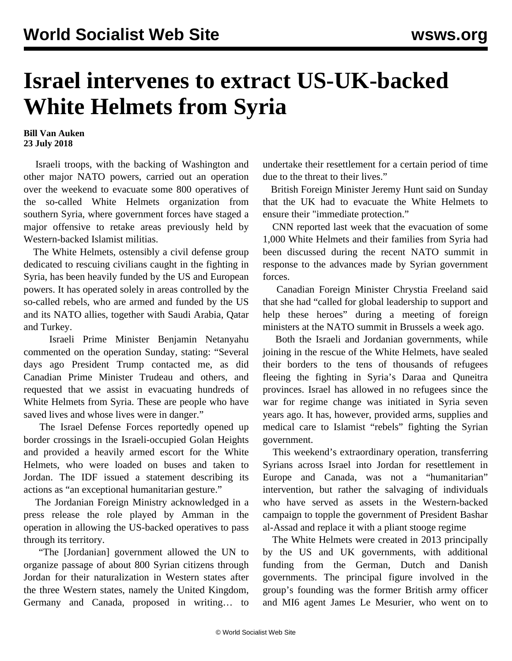## **Israel intervenes to extract US-UK-backed White Helmets from Syria**

## **Bill Van Auken 23 July 2018**

 Israeli troops, with the backing of Washington and other major NATO powers, carried out an operation over the weekend to evacuate some 800 operatives of the so-called White Helmets organization from southern Syria, where government forces have staged a major offensive to retake areas previously held by Western-backed Islamist militias.

 The White Helmets, ostensibly a civil defense group dedicated to rescuing civilians caught in the fighting in Syria, has been heavily funded by the US and European powers. It has operated solely in areas controlled by the so-called rebels, who are armed and funded by the US and its NATO allies, together with Saudi Arabia, Qatar and Turkey.

 Israeli Prime Minister Benjamin Netanyahu commented on the operation Sunday, stating: "Several days ago President Trump contacted me, as did Canadian Prime Minister Trudeau and others, and requested that we assist in evacuating hundreds of White Helmets from Syria. These are people who have saved lives and whose lives were in danger."

 The Israel Defense Forces reportedly opened up border crossings in the Israeli-occupied Golan Heights and provided a heavily armed escort for the White Helmets, who were loaded on buses and taken to Jordan. The IDF issued a statement describing its actions as "an exceptional humanitarian gesture."

 The Jordanian Foreign Ministry acknowledged in a press release the role played by Amman in the operation in allowing the US-backed operatives to pass through its territory.

 "The [Jordanian] government allowed the UN to organize passage of about 800 Syrian citizens through Jordan for their naturalization in Western states after the three Western states, namely the United Kingdom, Germany and Canada, proposed in writing… to undertake their resettlement for a certain period of time due to the threat to their lives."

 British Foreign Minister Jeremy Hunt said on Sunday that the UK had to evacuate the White Helmets to ensure their "immediate protection."

 CNN reported last week that the evacuation of some 1,000 White Helmets and their families from Syria had been discussed during the recent NATO summit in response to the advances made by Syrian government forces.

 Canadian Foreign Minister Chrystia Freeland said that she had "called for global leadership to support and help these heroes" during a meeting of foreign ministers at the NATO summit in Brussels a week ago.

 Both the Israeli and Jordanian governments, while joining in the rescue of the White Helmets, have sealed their borders to the tens of thousands of refugees fleeing the fighting in Syria's Daraa and Quneitra provinces. Israel has allowed in no refugees since the war for regime change was initiated in Syria seven years ago. It has, however, provided arms, supplies and medical care to Islamist "rebels" fighting the Syrian government.

 This weekend's extraordinary operation, transferring Syrians across Israel into Jordan for resettlement in Europe and Canada, was not a "humanitarian" intervention, but rather the salvaging of individuals who have served as assets in the Western-backed campaign to topple the government of President Bashar al-Assad and replace it with a pliant stooge regime

 The White Helmets were created in 2013 principally by the US and UK governments, with additional funding from the German, Dutch and Danish governments. The principal figure involved in the group's founding was the former British army officer and MI6 agent James Le Mesurier, who went on to